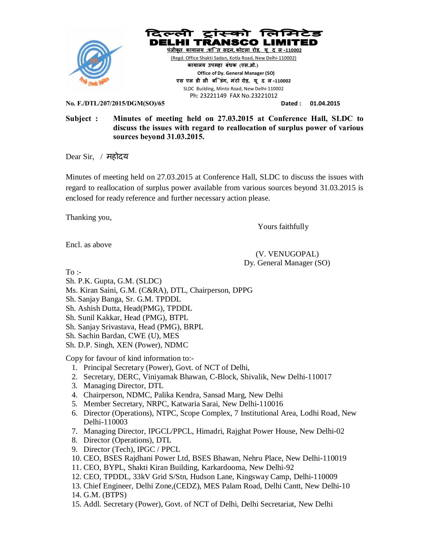



(Regd. Office Shakti Sadan, Kotla Road, New Delhi-110002)  **काया लय उपमहा बंधक (एस.ओ.) Office of Dy. General Manager (SO) एस एल डी सी बि डंग, मंटो रोड़, यू द ल-110002**  SLDC Building, Minto Road, New Delhi-110002 Ph: 23221149 FAX No.23221012

**No. F./DTL/207/2015/DGM(SO)/65 Dated : 01.04.2015** 

# **Subject : Minutes of meeting held on 27.03.2015 at Conference Hall, SLDC to discuss the issues with regard to reallocation of surplus power of various sources beyond 31.03.2015.**

Dear Sir, / महोदय

Minutes of meeting held on 27.03.2015 at Conference Hall, SLDC to discuss the issues with regard to reallocation of surplus power available from various sources beyond 31.03.2015 is enclosed for ready reference and further necessary action please.

Thanking you,

Yours faithfully

Encl. as above

(V. VENUGOPAL) Dy. General Manager (SO)

 $To -$ 

Sh. P.K. Gupta, G.M. (SLDC)

Ms. Kiran Saini, G.M. (C&RA), DTL, Chairperson, DPPG

Sh. Sanjay Banga, Sr. G.M. TPDDL

Sh. Ashish Dutta, Head(PMG), TPDDL

Sh. Sunil Kakkar, Head (PMG), BTPL

Sh. Sanjay Srivastava, Head (PMG), BRPL

Sh. Sachin Bardan, CWE (U), MES

Sh. D.P. Singh, XEN (Power), NDMC

Copy for favour of kind information to:-

- 1. Principal Secretary (Power), Govt. of NCT of Delhi,
- 2. Secretary, DERC, Viniyamak Bhawan, C-Block, Shivalik, New Delhi-110017
- 3. Managing Director, DTL
- 4. Chairperson, NDMC, Palika Kendra, Sansad Marg, New Delhi
- 5. Member Secretary, NRPC, Katwaria Sarai, New Delhi-110016
- 6. Director (Operations), NTPC, Scope Complex, 7 Institutional Area, Lodhi Road, New Delhi-110003
- 7. Managing Director, IPGCL/PPCL, Himadri, Rajghat Power House, New Delhi-02
- 8. Director (Operations), DTL
- 9. Director (Tech), IPGC / PPCL
- 10. CEO, BSES Rajdhani Power Ltd, BSES Bhawan, Nehru Place, New Delhi-110019
- 11. CEO, BYPL, Shakti Kiran Building, Karkardooma, New Delhi-92
- 12. CEO, TPDDL, 33kV Grid S/Stn, Hudson Lane, Kingsway Camp, Delhi-110009
- 13. Chief Engineer, Delhi Zone,(CEDZ), MES Palam Road, Delhi Cantt, New Delhi-10
- 14. G.M. (BTPS)
- 15. Addl. Secretary (Power), Govt. of NCT of Delhi, Delhi Secretariat, New Delhi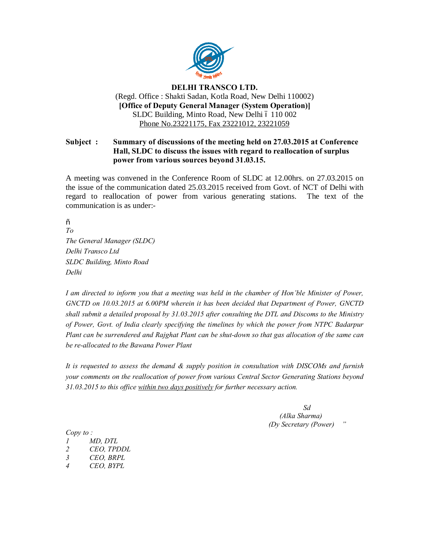

## **DELHI TRANSCO LTD.** (Regd. Office : Shakti Sadan, Kotla Road, New Delhi 110002) **[Office of Deputy General Manager (System Operation)]** SLDC Building, Minto Road, New Delhi ó 110 002 Phone No.23221175, Fax 23221012, 23221059

# **Subject : Summary of discussions of the meeting held on 27.03.2015 at Conference Hall, SLDC to discuss the issues with regard to reallocation of surplus power from various sources beyond 31.03.15.**

A meeting was convened in the Conference Room of SLDC at 12.00hrs. on 27.03.2015 on the issue of the communication dated 25.03.2015 received from Govt. of NCT of Delhi with regard to reallocation of power from various generating stations. The text of the communication is as under:-

 $\tilde{O}$ *To The General Manager (SLDC) Delhi Transco Ltd SLDC Building, Minto Road Delhi*

*I am directed to inform you that a meeting was held in the chamber of Hon'ble Minister of Power, GNCTD on 10.03.2015 at 6.00PM wherein it has been decided that Department of Power, GNCTD shall submit a detailed proposal by 31.03.2015 after consulting the DTL and Discoms to the Ministry of Power, Govt. of India clearly specifying the timelines by which the power from NTPC Badarpur Plant can be surrendered and Rajghat Plant can be shut-down so that gas allocation of the same can be re-allocated to the Bawana Power Plant*

*It is requested to assess the demand & supply position in consultation with DISCOMs and furnish your comments on the reallocation of power from various Central Sector Generating Stations beyond 31.03.2015 to this office within two days positively for further necessary action.*

> *Sd (Alka Sharma) (Dy Secretary (Power) "*

*Copy to :*

- *1 MD, DTL*
- *2 CEO, TPDDL*
- *3 CEO, BRPL*
- *4 CEO, BYPL*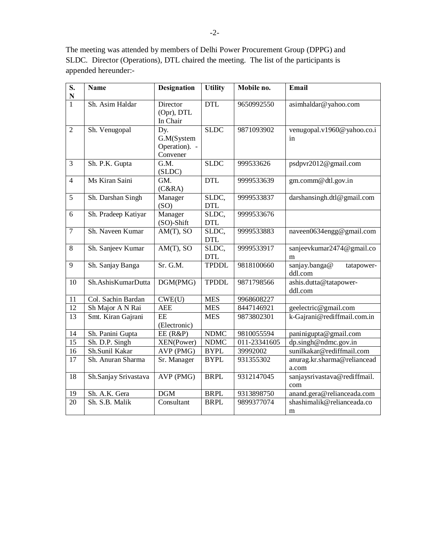The meeting was attended by members of Delhi Power Procurement Group (DPPG) and SLDC. Director (Operations), DTL chaired the meeting. The list of the participants is appended hereunder:-

| S.<br>$\mathbf N$ | <b>Name</b>          | <b>Designation</b>                             | <b>Utility</b>      | Mobile no.   | Email                                  |
|-------------------|----------------------|------------------------------------------------|---------------------|--------------|----------------------------------------|
| $\overline{1}$    | Sh. Asim Haldar      | Director<br>(Opr), DTL<br>In Chair             | <b>DTL</b>          | 9650992550   | asimhaldar@yahoo.com                   |
| $\overline{2}$    | Sh. Venugopal        | Dy.<br>G.M(System<br>Operation). -<br>Convener | <b>SLDC</b>         | 9871093902   | venugopal.v1960@yahoo.co.i<br>in       |
| $\overline{3}$    | Sh. P.K. Gupta       | G.M.<br>(SLDC)                                 | <b>SLDC</b>         | 999533626    | psdpvr2012@gmail.com                   |
| $\overline{4}$    | Ms Kiran Saini       | GM.<br>(C&RA)                                  | <b>DTL</b>          | 9999533639   | gm.comm@dtl.gov.in                     |
| $\overline{5}$    | Sh. Darshan Singh    | Manager<br>(SO)                                | SLDC,<br><b>DTL</b> | 9999533837   | darshansingh.dtl@gmail.com             |
| 6                 | Sh. Pradeep Katiyar  | Manager<br>(SO)-Shift                          | SLDC,<br><b>DTL</b> | 9999533676   |                                        |
| $\overline{7}$    | Sh. Naveen Kumar     | $AM(T)$ , SO                                   | SLDC,<br><b>DTL</b> | 9999533883   | naveen0634engg@gmail.com               |
| $8\,$             | Sh. Sanjeev Kumar    | $AM(T)$ , SO                                   | SLDC,<br><b>DTL</b> | 9999533917   | sanjeevkumar2474@gmail.co<br>m         |
| 9                 | Sh. Sanjay Banga     | Sr. G.M.                                       | <b>TPDDL</b>        | 9818100660   | sanjay.banga@<br>tatapower-<br>ddl.com |
| 10                | Sh.AshisKumarDutta   | DGM(PMG)                                       | <b>TPDDL</b>        | 9871798566   | ashis.dutta@tatapower-<br>ddl.com      |
| 11                | Col. Sachin Bardan   | CWE(U)                                         | <b>MES</b>          | 9968608227   |                                        |
| $\overline{12}$   | Sh Major A N Rai     | <b>AEE</b>                                     | <b>MES</b>          | 8447146921   | geelectric@gmail.com                   |
| 13                | Smt. Kiran Gajrani   | EE<br>(Electronic)                             | <b>MES</b>          | 9873802301   | k-Gajrani@rediffmail.com.in            |
| 14                | Sh. Panini Gupta     | $EE$ (R&P)                                     | <b>NDMC</b>         | 9810055594   | paninigupta@gmail.com                  |
| 15                | Sh. D.P. Singh       | XEN(Power)                                     | <b>NDMC</b>         | 011-23341605 | dp.singh@ndmc.gov.in                   |
| 16                | Sh.Sunil Kakar       | AVP (PMG)                                      | <b>BYPL</b>         | 39992002     | sunilkakar@rediffmail.com              |
| 17                | Sh. Anuran Sharma    | Sr. Manager                                    | <b>BYPL</b>         | 931355302    | anurag.kr.sharma@reliancead<br>a.com   |
| 18                | Sh.Sanjay Srivastava | AVP (PMG)                                      | <b>BRPL</b>         | 9312147045   | sanjaysrivastava@rediffmail.<br>com    |
| 19                | Sh. A.K. Gera        | $\overline{DGM}$                               | <b>BRPL</b>         | 9313898750   | anand.gera@relianceada.com             |
| 20                | Sh. S.B. Malik       | Consultant                                     | <b>BRPL</b>         | 9899377074   | shashimalik@relianceada.co<br>m        |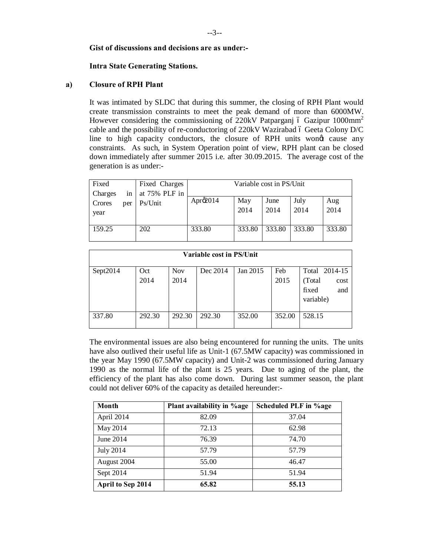## **Gist of discussions and decisions are as under:-**

#### **Intra State Generating Stations.**

#### **a) Closure of RPH Plant**

It was intimated by SLDC that during this summer, the closing of RPH Plant would create transmission constraints to meet the peak demand of more than 6000MW. However considering the commissioning of  $220kV$  Patparganj  $\acute{o}$  Gazipur 1000mm<sup>2</sup> cable and the possibility of re-conductoring of 220kV Wazirabad 6 Geeta Colony D/C line to high capacity conductors, the closure of RPH units wond cause any constraints. As such, in System Operation point of view, RPH plant can be closed down immediately after summer 2015 i.e. after 30.09.2015. The average cost of the generation is as under:-

| Fixed   |     | Fixed Charges |             |        | Variable cost in PS/Unit |        |        |
|---------|-----|---------------|-------------|--------|--------------------------|--------|--------|
| Charges | 1n  | at 75% PLF in |             |        |                          |        |        |
| Crores  | per | Ps/Unit       | Apr $\&014$ | May    | June                     | July   | Aug    |
| year    |     |               |             | 2014   | 2014                     | 2014   | 2014   |
|         |     |               |             |        |                          |        |        |
| 159.25  |     | 202           | 333.80      | 333.80 | 333.80                   | 333.80 | 333.80 |
|         |     |               |             |        |                          |        |        |

| <b>Variable cost in PS/Unit</b> |             |                    |          |          |             |                                                               |  |  |
|---------------------------------|-------------|--------------------|----------|----------|-------------|---------------------------------------------------------------|--|--|
| Sept2014                        | Oct<br>2014 | <b>Nov</b><br>2014 | Dec 2014 | Jan 2015 | Feb<br>2015 | Total 2014-15<br>(Total)<br>cost<br>fixed<br>and<br>variable) |  |  |
| 337.80                          | 292.30      | 292.30             | 292.30   | 352.00   | 352.00      | 528.15                                                        |  |  |

The environmental issues are also being encountered for running the units. The units have also outlived their useful life as Unit-1 (67.5MW capacity) was commissioned in the year May 1990 (67.5MW capacity) and Unit-2 was commissioned during January 1990 as the normal life of the plant is 25 years. Due to aging of the plant, the efficiency of the plant has also come down. During last summer season, the plant could not deliver 60% of the capacity as detailed hereunder:-

| <b>Month</b>      | Plant availability in %age | Scheduled PLF in %age |
|-------------------|----------------------------|-----------------------|
| April 2014        | 82.09                      | 37.04                 |
| May 2014          | 72.13                      |                       |
| June 2014         | 76.39                      | 74.70                 |
| <b>July 2014</b>  | 57.79                      | 57.79                 |
| August 2004       | 55.00                      | 46.47                 |
| Sept 2014         | 51.94                      | 51.94                 |
| April to Sep 2014 | 65.82                      | 55.13                 |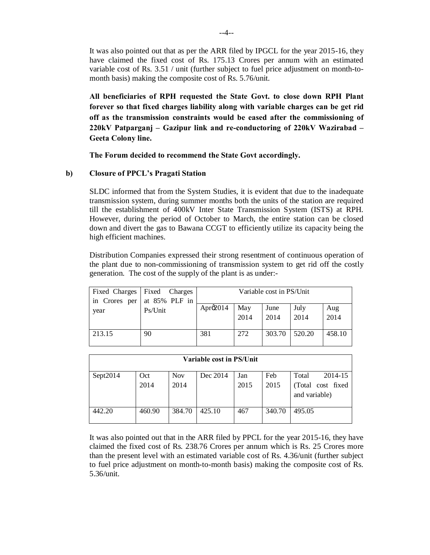It was also pointed out that as per the ARR filed by IPGCL for the year 2015-16, they have claimed the fixed cost of Rs. 175.13 Crores per annum with an estimated variable cost of Rs. 3.51 / unit (further subject to fuel price adjustment on month-tomonth basis) making the composite cost of Rs. 5.76/unit.

**All beneficiaries of RPH requested the State Govt. to close down RPH Plant forever so that fixed charges liability along with variable charges can be get rid off as the transmission constraints would be eased after the commissioning of 220kV Patparganj – Gazipur link and re-conductoring of 220kV Wazirabad – Geeta Colony line.**

**The Forum decided to recommend the State Govt accordingly.**

## **b) Closure of PPCL's Pragati Station**

SLDC informed that from the System Studies, it is evident that due to the inadequate transmission system, during summer months both the units of the station are required till the establishment of 400kV Inter State Transmission System (ISTS) at RPH. However, during the period of October to March, the entire station can be closed down and divert the gas to Bawana CCGT to efficiently utilize its capacity being the high efficient machines.

Distribution Companies expressed their strong resentment of continuous operation of the plant due to non-commissioning of transmission system to get rid off the costly generation. The cost of the supply of the plant is as under:-

| in Crores per | Fixed Charges Fixed Charges<br>at 85% PLF in |                      |             | Variable cost in PS/Unit |              |             |
|---------------|----------------------------------------------|----------------------|-------------|--------------------------|--------------|-------------|
| year          | Ps/Unit                                      | Apr $\mathcal{Q}014$ | May<br>2014 | June<br>2014             | July<br>2014 | Aug<br>2014 |
| 213.15        | 90                                           | 381                  | 272         | 303.70                   | 520.20       | 458.10      |

| Variable cost in PS/Unit |        |            |          |      |        |                   |  |  |
|--------------------------|--------|------------|----------|------|--------|-------------------|--|--|
| Sept2014                 | Oct    | <b>Nov</b> | Dec 2014 | Jan  | Feb    | 2014-15<br>Total  |  |  |
|                          | 2014   | 2014       |          | 2015 | 2015   | (Total cost fixed |  |  |
|                          |        |            |          |      |        | and variable)     |  |  |
| 442.20                   | 460.90 | 384.70     | 425.10   | 467  | 340.70 | 495.05            |  |  |

It was also pointed out that in the ARR filed by PPCL for the year 2015-16, they have claimed the fixed cost of Rs. 238.76 Crores per annum which is Rs. 25 Crores more than the present level with an estimated variable cost of Rs. 4.36/unit (further subject to fuel price adjustment on month-to-month basis) making the composite cost of Rs. 5.36/unit.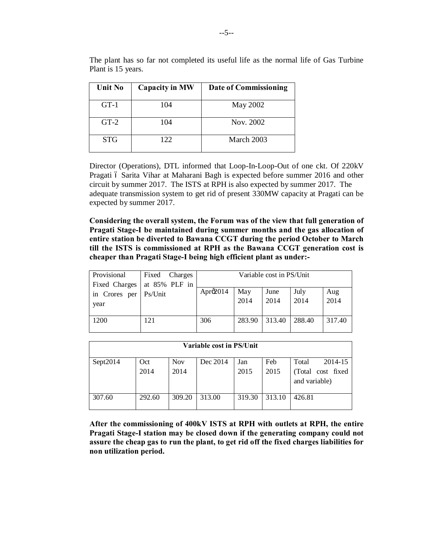| <b>Unit No</b> | <b>Capacity in MW</b> | Date of Commissioning |
|----------------|-----------------------|-----------------------|
| $GT-1$         | 104                   | May 2002              |
| $GT-2$         | 104                   | Nov. 2002             |
| <b>STG</b>     | 122.                  | March 2003            |

The plant has so far not completed its useful life as the normal life of Gas Turbine Plant is 15 years.

Director (Operations), DTL informed that Loop-In-Loop-Out of one ckt. Of 220kV Pragati 6 Sarita Vihar at Maharani Bagh is expected before summer 2016 and other circuit by summer 2017. The ISTS at RPH is also expected by summer 2017. The adequate transmission system to get rid of present 330MW capacity at Pragati can be expected by summer 2017.

**Considering the overall system, the Forum was of the view that full generation of Pragati Stage-I be maintained during summer months and the gas allocation of entire station be diverted to Bawana CCGT during the period October to March till the ISTS is commissioned at RPH as the Bawana CCGT generation cost is cheaper than Pragati Stage-I being high efficient plant as under:-**

| Provisional   | Fixed<br>Charges |                      |        | Variable cost in PS/Unit |        |        |
|---------------|------------------|----------------------|--------|--------------------------|--------|--------|
| Fixed Charges | at 85% PLF in    |                      |        |                          |        |        |
| in Crores per | Ps/Unit          | Apr $\mathcal{Q}014$ | May    | June                     | July   | Aug    |
| year          |                  |                      | 2014   | 2014                     | 2014   | 2014   |
|               |                  |                      |        |                          |        |        |
| 1200          | 121              | 306                  | 283.90 | 313.40                   | 288.40 | 317.40 |
|               |                  |                      |        |                          |        |        |

| Variable cost in PS/Unit |        |            |          |        |        |                                    |  |
|--------------------------|--------|------------|----------|--------|--------|------------------------------------|--|
| Sept2014                 | Oct    | <b>Nov</b> | Dec 2014 | Jan    | Feb    | 2014-15<br>Total                   |  |
|                          | 2014   | 2014       |          | 2015   | 2015   | (Total cost fixed<br>and variable) |  |
| 307.60                   | 292.60 | 309.20     | 313.00   | 319.30 | 313.10 | 426.81                             |  |

**After the commissioning of 400kV ISTS at RPH with outlets at RPH, the entire Pragati Stage-I station may be closed down if the generating company could not assure the cheap gas to run the plant, to get rid off the fixed charges liabilities for non utilization period.**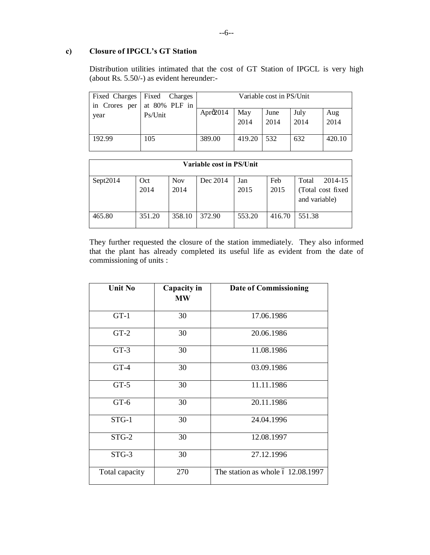# **c) Closure of IPGCL's GT Station**

Distribution utilities intimated that the cost of GT Station of IPGCL is very high (about Rs. 5.50/-) as evident hereunder:-

|        | Fixed Charges Fixed Charges |                   |        | Variable cost in PS/Unit |      |        |
|--------|-----------------------------|-------------------|--------|--------------------------|------|--------|
|        | in Crores per at 80% PLF in |                   |        |                          |      |        |
| year   | Ps/Unit                     | Apro $\Omega$ 014 | May    | June                     | July | Aug    |
|        |                             |                   | 2014   | 2014                     | 2014 | 2014   |
|        |                             |                   |        |                          |      |        |
| 192.99 | 105                         | 389.00            | 419.20 | 532                      | 632  | 420.10 |
|        |                             |                   |        |                          |      |        |

| Variable cost in PS/Unit |             |                    |          |             |             |                                                         |  |  |
|--------------------------|-------------|--------------------|----------|-------------|-------------|---------------------------------------------------------|--|--|
| Sept2014                 | Oct<br>2014 | <b>Nov</b><br>2014 | Dec 2014 | Jan<br>2015 | Feb<br>2015 | 2014-15<br>Total<br>(Total cost fixed)<br>and variable) |  |  |
| 465.80                   | 351.20      | 358.10             | 372.90   | 553.20      | 416.70      | 551.38                                                  |  |  |

They further requested the closure of the station immediately. They also informed that the plant has already completed its useful life as evident from the date of commissioning of units :

| <b>Unit No</b> | Capacity in<br><b>MW</b> | <b>Date of Commissioning</b>      |
|----------------|--------------------------|-----------------------------------|
| $GT-1$         | 30                       | 17.06.1986                        |
| $GT-2$         | 30                       | 20.06.1986                        |
| $GT-3$         | 30                       | 11.08.1986                        |
| $GT-4$         | 30                       | 03.09.1986                        |
| $GT-5$         | 30                       | 11.11.1986                        |
| $GT-6$         | 30                       | 20.11.1986                        |
| STG-1          | 30                       | 24.04.1996                        |
| $STG-2$        | 30                       | 12.08.1997                        |
| STG-3          | 30                       | 27.12.1996                        |
| Total capacity | 270                      | The station as whole 6 12.08.1997 |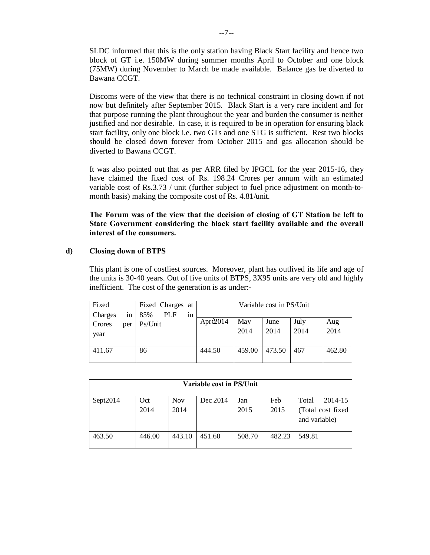SLDC informed that this is the only station having Black Start facility and hence two block of GT i.e. 150MW during summer months April to October and one block (75MW) during November to March be made available. Balance gas be diverted to Bawana CCGT.

Discoms were of the view that there is no technical constraint in closing down if not now but definitely after September 2015. Black Start is a very rare incident and for that purpose running the plant throughout the year and burden the consumer is neither justified and nor desirable. In case, it is required to be in operation for ensuring black start facility, only one block i.e. two GTs and one STG is sufficient. Rest two blocks should be closed down forever from October 2015 and gas allocation should be diverted to Bawana CCGT.

It was also pointed out that as per ARR filed by IPGCL for the year 2015-16, they have claimed the fixed cost of Rs. 198.24 Crores per annum with an estimated variable cost of Rs.3.73 / unit (further subject to fuel price adjustment on month-tomonth basis) making the composite cost of Rs. 4.81/unit.

**The Forum was of the view that the decision of closing of GT Station be left to State Government considering the black start facility available and the overall interest of the consumers.** 

## **d) Closing down of BTPS**

This plant is one of costliest sources. Moreover, plant has outlived its life and age of the units is 30-40 years. Out of five units of BTPS, 3X95 units are very old and highly inefficient. The cost of the generation is as under:-

| Fixed                 |     |         | Fixed Charges at |    |                      |             | Variable cost in PS/Unit |              |             |
|-----------------------|-----|---------|------------------|----|----------------------|-------------|--------------------------|--------------|-------------|
| <b>Charges</b>        | in  | 85%     | PLF              | in |                      |             |                          |              |             |
| <b>Crores</b><br>year | per | Ps/Unit |                  |    | Apr $\mathcal{Q}014$ | May<br>2014 | June<br>2014             | July<br>2014 | Aug<br>2014 |
| 411.67                |     | 86      |                  |    | 444.50               | 459.00      | 473.50                   | 467          | 462.80      |

| Variable cost in PS/Unit |             |                    |          |             |             |                                                         |  |  |  |
|--------------------------|-------------|--------------------|----------|-------------|-------------|---------------------------------------------------------|--|--|--|
| Sept2014                 | Oct<br>2014 | <b>Nov</b><br>2014 | Dec 2014 | Jan<br>2015 | Feb<br>2015 | 2014-15<br>Total<br>(Total cost fixed)<br>and variable) |  |  |  |
| 463.50                   | 446.00      | 443.10             | 451.60   | 508.70      | 482.23      | 549.81                                                  |  |  |  |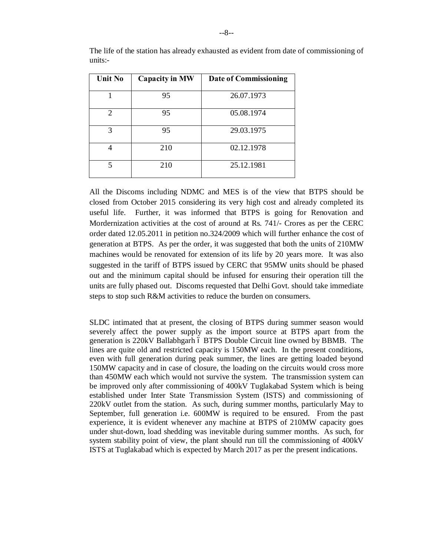| <b>Unit No</b> | <b>Capacity in MW</b> | <b>Date of Commissioning</b> |
|----------------|-----------------------|------------------------------|
|                | 95                    | 26.07.1973                   |
| 2              | 95                    | 05.08.1974                   |
| 3              | 95                    | 29.03.1975                   |
|                | 210                   | 02.12.1978                   |
| 5              | 210                   | 25.12.1981                   |

The life of the station has already exhausted as evident from date of commissioning of units:-

All the Discoms including NDMC and MES is of the view that BTPS should be closed from October 2015 considering its very high cost and already completed its useful life. Further, it was informed that BTPS is going for Renovation and Mordernization activities at the cost of around at Rs. 741/- Crores as per the CERC order dated 12.05.2011 in petition no.324/2009 which will further enhance the cost of generation at BTPS. As per the order, it was suggested that both the units of 210MW machines would be renovated for extension of its life by 20 years more. It was also suggested in the tariff of BTPS issued by CERC that 95MW units should be phased out and the minimum capital should be infused for ensuring their operation till the units are fully phased out. Discoms requested that Delhi Govt. should take immediate steps to stop such R&M activities to reduce the burden on consumers.

SLDC intimated that at present, the closing of BTPS during summer season would severely affect the power supply as the import source at BTPS apart from the generation is 220kV Ballabhgarh 6 BTPS Double Circuit line owned by BBMB. The lines are quite old and restricted capacity is 150MW each. In the present conditions, even with full generation during peak summer, the lines are getting loaded beyond 150MW capacity and in case of closure, the loading on the circuits would cross more than 450MW each which would not survive the system. The transmission system can be improved only after commissioning of 400kV Tuglakabad System which is being established under Inter State Transmission System (ISTS) and commissioning of 220kV outlet from the station. As such, during summer months, particularly May to September, full generation i.e. 600MW is required to be ensured. From the past experience, it is evident whenever any machine at BTPS of 210MW capacity goes under shut-down, load shedding was inevitable during summer months. As such, for system stability point of view, the plant should run till the commissioning of 400kV ISTS at Tuglakabad which is expected by March 2017 as per the present indications.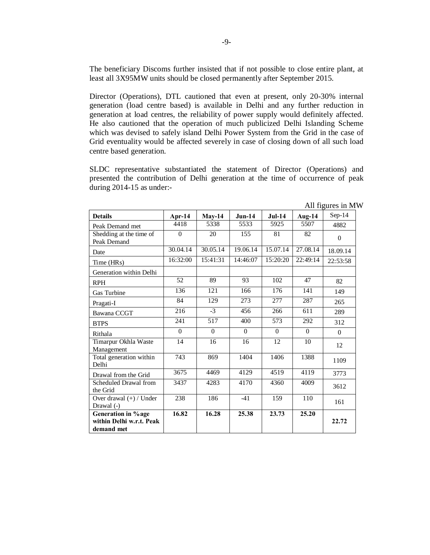The beneficiary Discoms further insisted that if not possible to close entire plant, at least all 3X95MW units should be closed permanently after September 2015.

Director (Operations), DTL cautioned that even at present, only 20-30% internal generation (load centre based) is available in Delhi and any further reduction in generation at load centres, the reliability of power supply would definitely affected. He also cautioned that the operation of much publicized Delhi Islanding Scheme which was devised to safely island Delhi Power System from the Grid in the case of Grid eventuality would be affected severely in case of closing down of all such load centre based generation.

SLDC representative substantiated the statement of Director (Operations) and presented the contribution of Delhi generation at the time of occurrence of peak during 2014-15 as under:-

| <b>Details</b>                                                | Apr-14   | $May-14$ | $Jun-14$ | $Jul-14$         | Aug- $14$ | $Sep-14$     |
|---------------------------------------------------------------|----------|----------|----------|------------------|-----------|--------------|
| Peak Demand met                                               | 4418     | 5338     | 5533     | 5925             | 5507      | 4882         |
| Shedding at the time of<br>Peak Demand                        | $\Omega$ | 20       | 155      | 81               | 82        | $\mathbf{0}$ |
| Date                                                          | 30.04.14 | 30.05.14 | 19.06.14 | 15.07.14         | 27.08.14  | 18.09.14     |
| Time (HRs)                                                    | 16:32:00 | 15:41:31 | 14:46:07 | 15:20:20         | 22:49:14  | 22:53:58     |
| Generation within Delhi                                       |          |          |          |                  |           |              |
| <b>RPH</b>                                                    | 52       | 89       | 93       | 102              | 47        | 82           |
| <b>Gas Turbine</b>                                            | 136      | 121      | 166      | 176              | 141       | 149          |
| Pragati-I                                                     | 84       | 129      | 273      | 277              | 287       | 265          |
| Bawana CCGT                                                   | 216      | $-3$     | 456      | 266              | 611       | 289          |
| <b>BTPS</b>                                                   | 241      | 517      | 400      | $\overline{573}$ | 292       | 312          |
| Rithala                                                       | $\theta$ | $\Omega$ | $\Omega$ | $\Omega$         | $\Omega$  | $\Omega$     |
| Timarpur Okhla Waste<br>Management                            | 14       | 16       | 16       | 12               | 10        | 12           |
| Total generation within<br>Delhi                              | 743      | 869      | 1404     | 1406             | 1388      | 1109         |
| Drawal from the Grid                                          | 3675     | 4469     | 4129     | 4519             | 4119      | 3773         |
| Scheduled Drawal from<br>the Grid                             | 3437     | 4283     | 4170     | 4360             | 4009      | 3612         |
| Over drawal $(+)$ / Under<br>Drawal $(-)$                     | 238      | 186      | $-41$    | 159              | 110       | 161          |
| Generation in % age<br>within Delhi w.r.t. Peak<br>demand met | 16.82    | 16.28    | 25.38    | 23.73            | 25.20     | 22.72        |

All figures in MW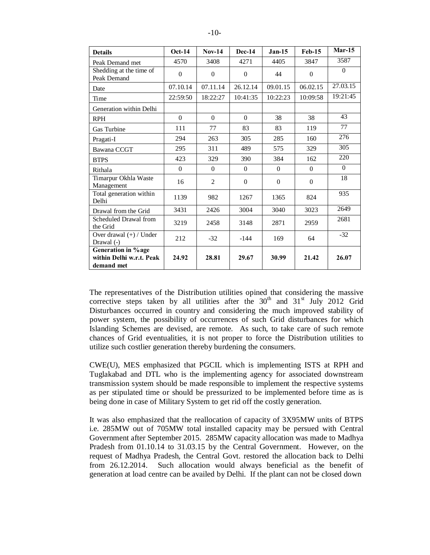| <b>Details</b>                         | <b>Oct-14</b> | <b>Nov-14</b>  | <b>Dec-14</b> | $Jan-15$       | <b>Feb-15</b> | $Mar-15$       |
|----------------------------------------|---------------|----------------|---------------|----------------|---------------|----------------|
| Peak Demand met                        | 4570          | 3408           | 4271          | 4405           | 3847          | 3587           |
| Shedding at the time of<br>Peak Demand | $\Omega$      | $\Omega$       | $\Omega$      | 44             | $\Omega$      | $\mathbf{0}$   |
| Date                                   | 07.10.14      | 07.11.14       | 26.12.14      | 09.01.15       | 06.02.15      | 27.03.15       |
| Time                                   | 22:59:50      | 18:22:27       | 10:41:35      | 10:22:23       | 10:09:58      | 19:21:45       |
| Generation within Delhi                |               |                |               |                |               |                |
| <b>RPH</b>                             | $\mathbf{0}$  | $\Omega$       | $\Omega$      | 38             | 38            | 43             |
| Gas Turbine                            | 111           | 77             | 83            | 83             | 119           | 77             |
| Pragati-I                              | 294           | 263            | 305           | 285            | 160           | 276            |
| Bawana CCGT                            | 295           | 311            | 489           | 575            | 329           | 305            |
| <b>BTPS</b>                            | 423           | 329            | 390           | 384            | 162           | 220            |
| Rithala                                | $\Omega$      | $\Omega$       | $\Omega$      | $\Omega$       | $\Omega$      | $\overline{0}$ |
| Timarpur Okhla Waste<br>Management     | 16            | $\overline{2}$ | $\Omega$      | $\overline{0}$ | $\Omega$      | 18             |
| Total generation within<br>Delhi       | 1139          | 982            | 1267          | 1365           | 824           | 935            |
| Drawal from the Grid                   | 3431          | 2426           | 3004          | 3040           | 3023          | 2649           |
| Scheduled Drawal from<br>the Grid      | 3219          | 2458           | 3148          | 2871           | 2959          | 2681           |
| Over drawal (+) / Under<br>Drawal (-)  | 212           | $-32$          | $-144$        | 169            | 64            | $-32$          |
| Generation in % age                    |               |                |               |                |               |                |
| within Delhi w.r.t. Peak               | 24.92         | 28.81          | 29.67         | 30.99          | 21.42         | 26.07          |
| demand met                             |               |                |               |                |               |                |

The representatives of the Distribution utilities opined that considering the massive corrective steps taken by all utilities after the  $30<sup>th</sup>$  and  $31<sup>st</sup>$  July 2012 Grid Disturbances occurred in country and considering the much improved stability of power system, the possibility of occurrences of such Grid disturbances for which Islanding Schemes are devised, are remote. As such, to take care of such remote chances of Grid eventualities, it is not proper to force the Distribution utilities to utilize such costlier generation thereby burdening the consumers.

CWE(U), MES emphasized that PGCIL which is implementing ISTS at RPH and Tuglakabad and DTL who is the implementing agency for associated downstream transmission system should be made responsible to implement the respective systems as per stipulated time or should be pressurized to be implemented before time as is being done in case of Military System to get rid off the costly generation.

It was also emphasized that the reallocation of capacity of 3X95MW units of BTPS i.e. 285MW out of 705MW total installed capacity may be persued with Central Government after September 2015. 285MW capacity allocation was made to Madhya Pradesh from 01.10.14 to 31.03.15 by the Central Government. However, on the request of Madhya Pradesh, the Central Govt. restored the allocation back to Delhi from 26.12.2014. Such allocation would always beneficial as the benefit of generation at load centre can be availed by Delhi. If the plant can not be closed down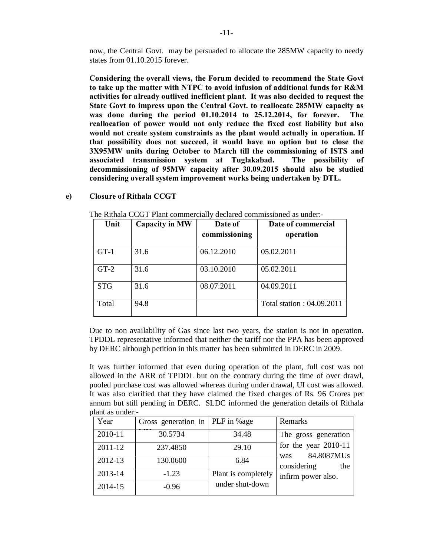now, the Central Govt. may be persuaded to allocate the 285MW capacity to needy states from 01.10.2015 forever.

**Considering the overall views, the Forum decided to recommend the State Govt to take up the matter with NTPC to avoid infusion of additional funds for R&M activities for already outlived inefficient plant. It was also decided to request the State Govt to impress upon the Central Govt. to reallocate 285MW capacity as was done during the period 01.10.2014 to 25.12.2014, for forever. The reallocation of power would not only reduce the fixed cost liability but also would not create system constraints as the plant would actually in operation. If that possibility does not succeed, it would have no option but to close the 3X95MW units during October to March till the commissioning of ISTS and associated transmission system at Tuglakabad. The possibility of decommissioning of 95MW capacity after 30.09.2015 should also be studied considering overall system improvement works being undertaken by DTL.**

| Unit       | <b>Capacity in MW</b> | Date of<br>commissioning | Date of commercial<br>operation |
|------------|-----------------------|--------------------------|---------------------------------|
| $GT-1$     | 31.6                  | 06.12.2010               | 05.02.2011                      |
| $GT-2$     | 31.6                  | 03.10.2010               | 05.02.2011                      |
| <b>STG</b> | 31.6                  | 08.07.2011               | 04.09.2011                      |
| Total      | 94.8                  |                          | Total station: 04.09.2011       |

#### **e) Closure of Rithala CCGT**

The Rithala CCGT Plant commercially declared commissioned as under:-

Due to non availability of Gas since last two years, the station is not in operation. TPDDL representative informed that neither the tariff nor the PPA has been approved by DERC although petition in this matter has been submitted in DERC in 2009.

It was further informed that even during operation of the plant, full cost was not allowed in the ARR of TPDDL but on the contrary during the time of over drawl, pooled purchase cost was allowed whereas during under drawal, UI cost was allowed. It was also clarified that they have claimed the fixed charges of Rs. 96 Crores per annum but still pending in DERC. SLDC informed the generation details of Rithala plant as under:-

| Year    | Gross generation in   PLF in %age |                     | Remarks                                     |
|---------|-----------------------------------|---------------------|---------------------------------------------|
| 2010-11 | 30.5734                           | 34.48               | The gross generation                        |
| 2011-12 | 237.4850                          | 29.10               | for the year $2010-11$<br>84.8087MUs<br>was |
| 2012-13 | 130.0600                          | 6.84                | considering<br>the                          |
| 2013-14 | $-1.23$                           | Plant is completely | infirm power also.                          |
| 2014-15 | $-0.96$                           | under shut-down     |                                             |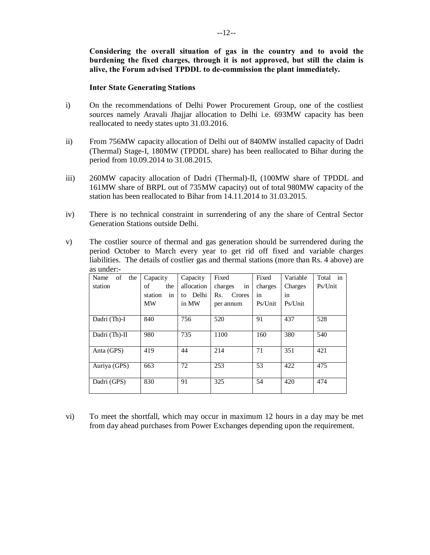**Considering the overall situation of gas in the country and to avoid the burdening the fixed charges, through it is not approved, but still the claim is alive, the Forum advised TPDDL to de-commission the plant immediately.** 

#### **Inter State Generating Stations**

- i) On the recommendations of Delhi Power Procurement Group, one of the costliest sources namely Aravali Jhajjar allocation to Delhi i.e. 693MW capacity has been reallocated to needy states upto 31.03.2016.
- ii) From 756MW capacity allocation of Delhi out of 840MW installed capacity of Dadri (Thermal) Stage-I, 180MW (TPDDL share) has been reallocated to Bihar during the period from 10.09.2014 to 31.08.2015.
- iii) 260MW capacity allocation of Dadri (Thermal)-II, (100MW share of TPDDL and 161MW share of BRPL out of 735MW capacity) out of total 980MW capacity of the station has been reallocated to Bihar from 14.11.2014 to 31.03.2015.
- iv) There is no technical constraint in surrendering of any the share of Central Sector Generation Stations outside Delhi.
- v) The costlier source of thermal and gas generation should be surrendered during the period October to March every year to get rid off fixed and variable charges liabilities. The details of costlier gas and thermal stations (more than Rs. 4 above) are as under:-

| Name<br>οf<br>the | Capacity      | Capacity   | Fixed         | Fixed   | Variable | in<br>Total |
|-------------------|---------------|------------|---------------|---------|----------|-------------|
| station           | of<br>the     | allocation | in<br>charges | charges | Charges  | Ps/Unit     |
|                   | in<br>station | to Delhi   | Rs.<br>Crores | in      | in       |             |
|                   | <b>MW</b>     | in MW      | per annum     | Ps/Unit | Ps/Unit  |             |
|                   |               |            |               |         |          |             |
| Dadri (Th)-I      | 840           | 756        | 520           | 91      | 437      | 528         |
|                   |               |            |               |         |          |             |
| Dadri (Th)-II     | 980           | 735        | 1100          | 160     | 380      | 540         |
| Anta (GPS)        | 419           | 44         | 214           | 71      | 351      | 421         |
|                   |               |            |               |         |          |             |
| Auriya (GPS)      | 663           | 72         | 253           | 53      | 422      | 475         |
|                   |               |            |               |         |          |             |
| Dadri (GPS)       | 830           | 91         | 325           | 54      | 420      | 474         |
|                   |               |            |               |         |          |             |

vi) To meet the shortfall, which may occur in maximum 12 hours in a day may be met from day ahead purchases from Power Exchanges depending upon the requirement.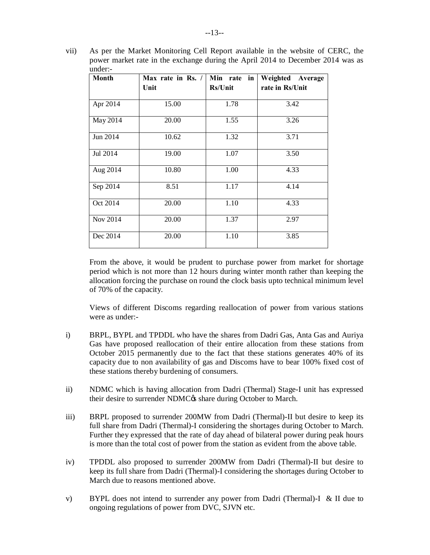vii) As per the Market Monitoring Cell Report available in the website of CERC, the power market rate in the exchange during the April 2014 to December 2014 was as under:-

| <b>Month</b> | Max rate in Rs. /<br>Unit | Min rate<br>in<br><b>Rs/Unit</b> | Weighted Average<br>rate in Rs/Unit |
|--------------|---------------------------|----------------------------------|-------------------------------------|
| Apr 2014     | 15.00                     | 1.78                             | 3.42                                |
| May 2014     | 20.00                     | 1.55                             | 3.26                                |
| Jun 2014     | 10.62                     | 1.32                             | 3.71                                |
| Jul 2014     | 19.00                     | 1.07                             | 3.50                                |
| Aug 2014     | 10.80                     | 1.00                             | 4.33                                |
| Sep 2014     | 8.51                      | 1.17                             | 4.14                                |
| Oct 2014     | 20.00                     | 1.10                             | 4.33                                |
| Nov 2014     | 20.00                     | 1.37                             | 2.97                                |
| Dec 2014     | 20.00                     | 1.10                             | 3.85                                |

From the above, it would be prudent to purchase power from market for shortage period which is not more than 12 hours during winter month rather than keeping the allocation forcing the purchase on round the clock basis upto technical minimum level of 70% of the capacity.

Views of different Discoms regarding reallocation of power from various stations were as under:-

- i) BRPL, BYPL and TPDDL who have the shares from Dadri Gas, Anta Gas and Auriya Gas have proposed reallocation of their entire allocation from these stations from October 2015 permanently due to the fact that these stations generates 40% of its capacity due to non availability of gas and Discoms have to bear 100% fixed cost of these stations thereby burdening of consumers.
- ii) NDMC which is having allocation from Dadri (Thermal) Stage-I unit has expressed their desire to surrender NDMC $\alpha$  share during October to March.
- iii) BRPL proposed to surrender 200MW from Dadri (Thermal)-II but desire to keep its full share from Dadri (Thermal)-I considering the shortages during October to March. Further they expressed that the rate of day ahead of bilateral power during peak hours is more than the total cost of power from the station as evident from the above table.
- iv) TPDDL also proposed to surrender 200MW from Dadri (Thermal)-II but desire to keep its full share from Dadri (Thermal)-I considering the shortages during October to March due to reasons mentioned above.
- v) BYPL does not intend to surrender any power from Dadri (Thermal)-I & II due to ongoing regulations of power from DVC, SJVN etc.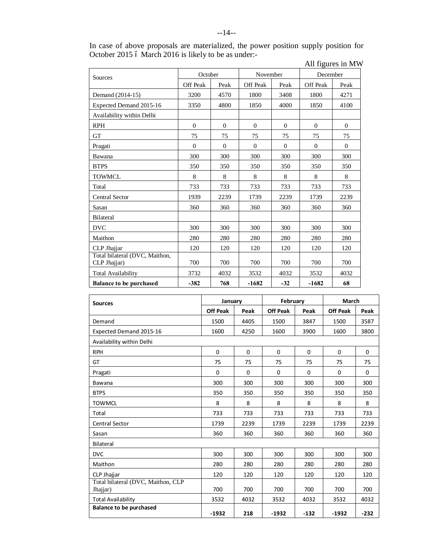|                                                |                 |          |                |              |                 | $\frac{1}{2}$ in $\frac{1}{2}$ in $\frac{1}{2}$ in $\frac{1}{2}$ |  |
|------------------------------------------------|-----------------|----------|----------------|--------------|-----------------|------------------------------------------------------------------|--|
| Sources                                        | October         |          | November       |              | December        |                                                                  |  |
|                                                | <b>Off Peak</b> | Peak     | Off Peak       | Peak         | <b>Off Peak</b> | Peak                                                             |  |
| Demand (2014-15)                               | 3200            | 4570     | 1800           | 3408         | 1800            | 4271                                                             |  |
| Expected Demand 2015-16                        | 3350            | 4800     | 1850           | 4000         | 1850            | 4100                                                             |  |
| Availability within Delhi                      |                 |          |                |              |                 |                                                                  |  |
| <b>RPH</b>                                     | $\theta$        | $\Omega$ | $\overline{0}$ | $\mathbf{0}$ | $\theta$        | $\mathbf{0}$                                                     |  |
| <b>GT</b>                                      | 75              | 75       | 75             | 75           | 75              | 75                                                               |  |
| Pragati                                        | $\theta$        | $\Omega$ | $\Omega$       | $\Omega$     | $\Omega$        | $\Omega$                                                         |  |
| Bawana                                         | 300             | 300      | 300            | 300          | 300             | 300                                                              |  |
| <b>BTPS</b>                                    | 350             | 350      | 350            | 350          | 350             | 350                                                              |  |
| <b>TOWMCL</b>                                  | 8               | 8        | 8              | 8            | 8               | 8                                                                |  |
| Total                                          | 733             | 733      | 733            | 733          | 733             | 733                                                              |  |
| <b>Central Sector</b>                          | 1939            | 2239     | 1739           | 2239         | 1739            | 2239                                                             |  |
| Sasan                                          | 360             | 360      | 360            | 360          | 360             | 360                                                              |  |
| Bilateral                                      |                 |          |                |              |                 |                                                                  |  |
| <b>DVC</b>                                     | 300             | 300      | 300            | 300          | 300             | 300                                                              |  |
| Maithon                                        | 280             | 280      | 280            | 280          | 280             | 280                                                              |  |
| CLP Jhajjar                                    | 120             | 120      | 120            | 120          | 120             | 120                                                              |  |
| Total bilateral (DVC, Maithon,<br>CLP Jhajjar) | 700             | 700      | 700            | 700          | 700             | 700                                                              |  |
| <b>Total Availability</b>                      | 3732            | 4032     | 3532           | 4032         | 3532            | 4032                                                             |  |
| <b>Balance to be purchased</b>                 | $-382$          | 768      | $-1682$        | $-32$        | $-1682$         | 68                                                               |  |

| In case of above proposals are materialized, the power position supply position for |                   |  |
|-------------------------------------------------------------------------------------|-------------------|--|
| October 2015 ó March 2016 is likely to be as under:-                                |                   |  |
|                                                                                     | All figures in MW |  |

| <b>Sources</b>                                 | January         |          | February        |             | March           |        |
|------------------------------------------------|-----------------|----------|-----------------|-------------|-----------------|--------|
|                                                | <b>Off Peak</b> | Peak     | <b>Off Peak</b> | Peak        | <b>Off Peak</b> | Peak   |
| Demand                                         | 1500            | 4405     | 1500            | 3847        | 1500            | 3587   |
| Expected Demand 2015-16                        | 1600            | 4250     | 1600            | 3900        | 1600            | 3800   |
| Availability within Delhi                      |                 |          |                 |             |                 |        |
| <b>RPH</b>                                     | $\mathbf 0$     | $\Omega$ | 0               | $\mathbf 0$ | $\mathbf 0$     | 0      |
| GT                                             | 75              | 75       | 75              | 75          | 75              | 75     |
| Pragati                                        | $\Omega$        | $\Omega$ | $\Omega$        | 0           | $\Omega$        | 0      |
| Bawana                                         | 300             | 300      | 300             | 300         | 300             | 300    |
| <b>BTPS</b>                                    | 350             | 350      | 350             | 350         | 350             | 350    |
| <b>TOWMCL</b>                                  | 8               | 8        | 8               | 8           | 8               | 8      |
| Total                                          | 733             | 733      | 733             | 733         | 733             | 733    |
| <b>Central Sector</b>                          | 1739            | 2239     | 1739            | 2239        | 1739            | 2239   |
| Sasan                                          | 360             | 360      | 360             | 360         | 360             | 360    |
| <b>Bilateral</b>                               |                 |          |                 |             |                 |        |
| <b>DVC</b>                                     | 300             | 300      | 300             | 300         | 300             | 300    |
| Maithon                                        | 280             | 280      | 280             | 280         | 280             | 280    |
| CLP Jhajjar                                    | 120             | 120      | 120             | 120         | 120             | 120    |
| Total bilateral (DVC, Maithon, CLP<br>Jhajjar) | 700             | 700      | 700             | 700         | 700             | 700    |
| <b>Total Availability</b>                      | 3532            | 4032     | 3532            | 4032        | 3532            | 4032   |
| <b>Balance to be purchased</b>                 | $-1932$         | 218      | $-1932$         | $-132$      | $-1932$         | $-232$ |